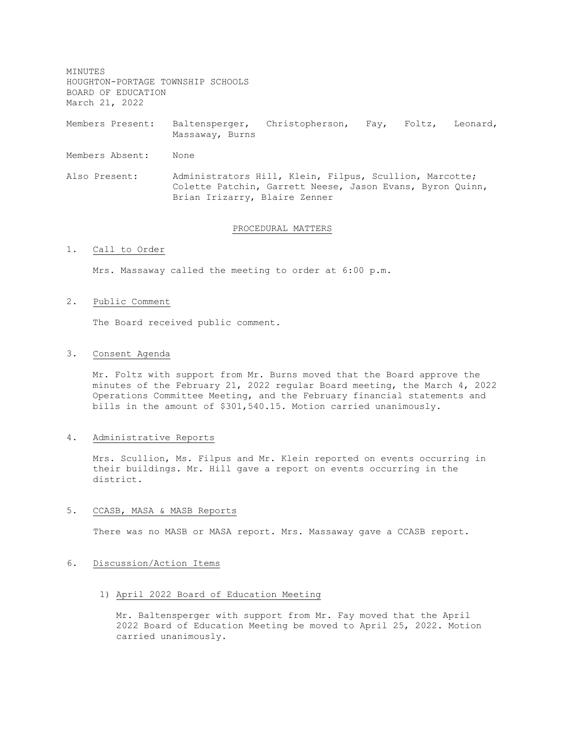MINUTES HOUGHTON-PORTAGE TOWNSHIP SCHOOLS BOARD OF EDUCATION March 21, 2022

Members Present: Baltensperger, Christopherson, Fay, Foltz, Leonard, Massaway, Burns

Members Absent: None

Also Present: Administrators Hill, Klein, Filpus, Scullion, Marcotte; Colette Patchin, Garrett Neese, Jason Evans, Byron Quinn, Brian Irizarry, Blaire Zenner

#### PROCEDURAL MATTERS

### 1. Call to Order

Mrs. Massaway called the meeting to order at 6:00 p.m.

#### 2. Public Comment

The Board received public comment.

## 3. Consent Agenda

Mr. Foltz with support from Mr. Burns moved that the Board approve the minutes of the February 21, 2022 regular Board meeting, the March 4, 2022 Operations Committee Meeting, and the February financial statements and bills in the amount of \$301,540.15. Motion carried unanimously.

## 4. Administrative Reports

Mrs. Scullion, Ms. Filpus and Mr. Klein reported on events occurring in their buildings. Mr. Hill gave a report on events occurring in the district.

#### 5. CCASB, MASA & MASB Reports

There was no MASB or MASA report. Mrs. Massaway gave a CCASB report.

## 6. Discussion/Action Items

#### 1) April 2022 Board of Education Meeting

Mr. Baltensperger with support from Mr. Fay moved that the April 2022 Board of Education Meeting be moved to April 25, 2022. Motion carried unanimously.